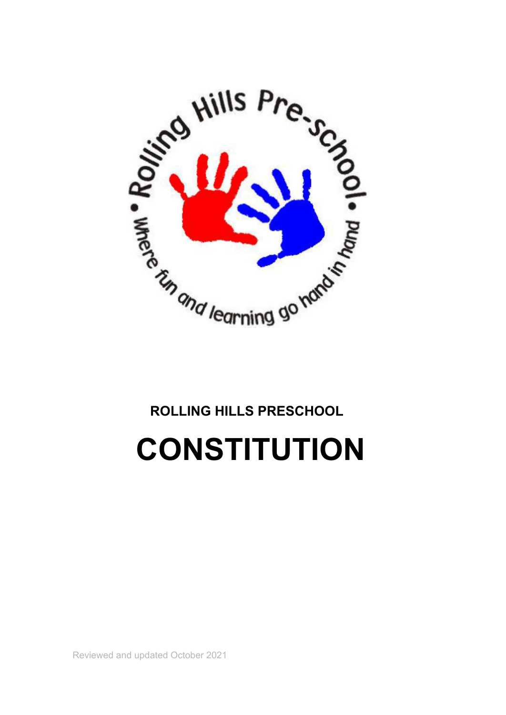

# **ROLLING HILLS PRESCHOOL**

**CONSTITUTION**

Reviewed and updated October 2021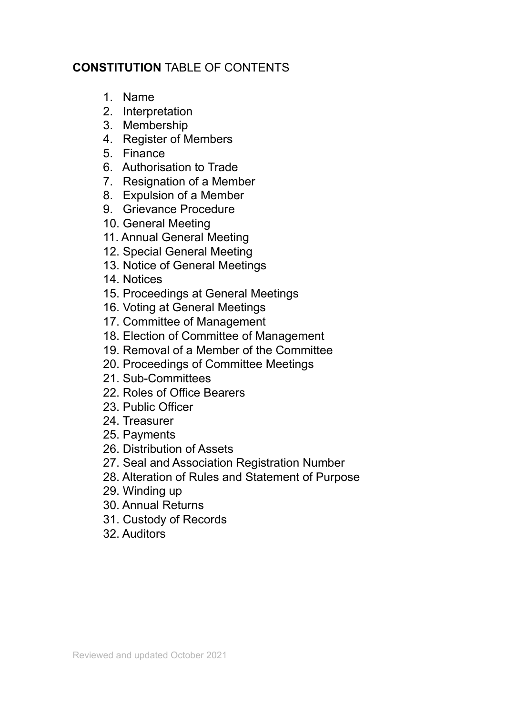## **CONSTITUTION** TABLE OF CONTENTS

- 1. Name
- 2. Interpretation
- 3. Membership
- 4. Register of Members
- 5. Finance
- 6. Authorisation to Trade
- 7. Resignation of a Member
- 8. Expulsion of a Member
- 9. Grievance Procedure
- 10. General Meeting
- 11. Annual General Meeting
- 12. Special General Meeting
- 13. Notice of General Meetings
- 14. Notices
- 15. Proceedings at General Meetings
- 16. Voting at General Meetings
- 17. Committee of Management
- 18. Election of Committee of Management
- 19. Removal of a Member of the Committee
- 20. Proceedings of Committee Meetings
- 21. Sub-Committees
- 22. Roles of Office Bearers
- 23. Public Officer
- 24. Treasurer
- 25. Payments
- 26. Distribution of Assets
- 27. Seal and Association Registration Number
- 28. Alteration of Rules and Statement of Purpose
- 29. Winding up
- 30. Annual Returns
- 31. Custody of Records
- 32. Auditors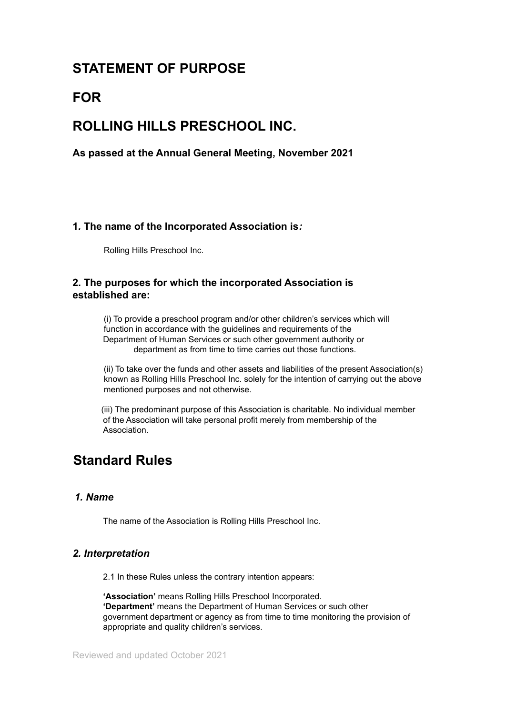## **STATEMENT OF PURPOSE**

## **FOR**

## **ROLLING HILLS PRESCHOOL INC.**

**As passed at the Annual General Meeting, November 2021**

## **1***.* **The name of the Incorporated Association is***:*

Rolling Hills Preschool Inc.

## **2. The purposes for which the incorporated Association is established are:**

(i) To provide a preschool program and/or other children's services which will function in accordance with the guidelines and requirements of the Department of Human Services or such other government authority or department as from time to time carries out those functions.

(ii) To take over the funds and other assets and liabilities of the present Association(s) known as Rolling Hills Preschool Inc. solely for the intention of carrying out the above mentioned purposes and not otherwise.

(iii) The predominant purpose of this Association is charitable. No individual member of the Association will take personal profit merely from membership of the Association.

## **Standard Rules**

## *1. Name*

The name of the Association is Rolling Hills Preschool Inc.

## *2. Interpretation*

2.1 In these Rules unless the contrary intention appears:

**'Association'** means Rolling Hills Preschool Incorporated. **'Department'** means the Department of Human Services or such other government department or agency as from time to time monitoring the provision of appropriate and quality children's services.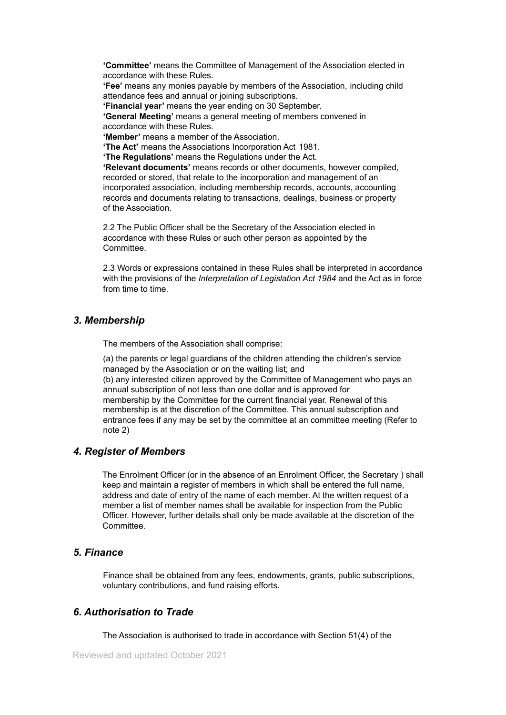**'Committee'** means the Committee of Management of the Association elected in accordance with these Rules.

**'Fee'** means any monies payable by members of the Association, including child attendance fees and annual or joining subscriptions.

**'Financial year'** means the year ending on 30 September.

**'General Meeting'** means a general meeting of members convened in accordance with these Rules.

**'Member'** means a member of the Association.

**'The Act'** means the Associations Incorporation Act 1981.

**'The Regulations'** means the Regulations under the Act.

**'Relevant documents'** means records or other documents, however compiled, recorded or stored, that relate to the incorporation and management of an incorporated association, including membership records, accounts, accounting records and documents relating to transactions, dealings, business or property of the Association.

2.2 The Public Officer shall be the Secretary of the Association elected in accordance with these Rules or such other person as appointed by the Committee.

2.3 Words or expressions contained in these Rules shall be interpreted in accordance with the provisions of the *Interpretation of Legislation Act 1984* and the Act as in force from time to time.

#### *3. Membership*

The members of the Association shall comprise:

(a) the parents or legal guardians of the children attending the children's service managed by the Association or on the waiting list; and

(b) any interested citizen approved by the Committee of Management who pays an annual subscription of not less than one dollar and is approved for membership by the Committee for the current financial year. Renewal of this membership is at the discretion of the Committee. This annual subscription and entrance fees if any may be set by the committee at an committee meeting (Refer to note 2)

### *4. Register of Members*

The Enrolment Officer (or in the absence of an Enrolment Officer, the Secretary ) shall keep and maintain a register of members in which shall be entered the full name, address and date of entry of the name of each member. At the written request of a member a list of member names shall be available for inspection from the Public Officer. However, further details shall only be made available at the discretion of the Committee.

#### *5. Finance*

Finance shall be obtained from any fees, endowments, grants, public subscriptions, voluntary contributions, and fund raising efforts.

## *6. Authorisation to Trade*

The Association is authorised to trade in accordance with Section 51(4) of the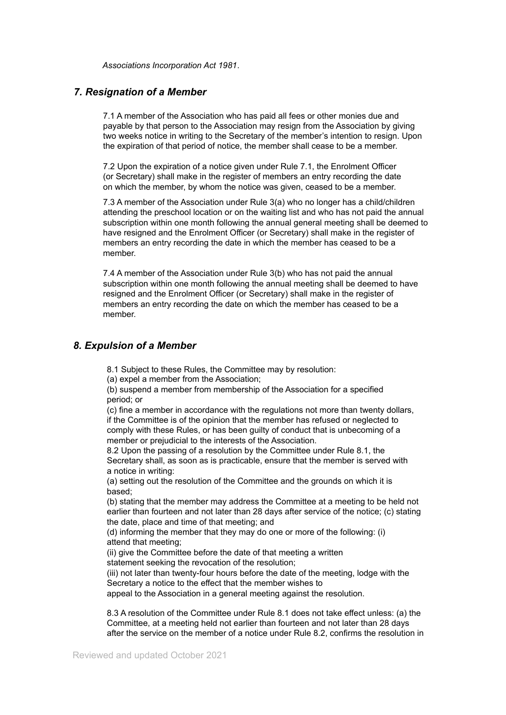*Associations Incorporation Act 1981*.

### *7. Resignation of a Member*

7.1 A member of the Association who has paid all fees or other monies due and payable by that person to the Association may resign from the Association by giving two weeks notice in writing to the Secretary of the member's intention to resign. Upon the expiration of that period of notice, the member shall cease to be a member.

7.2 Upon the expiration of a notice given under Rule 7.1, the Enrolment Officer (or Secretary) shall make in the register of members an entry recording the date on which the member, by whom the notice was given, ceased to be a member.

7.3 A member of the Association under Rule 3(a) who no longer has a child/children attending the preschool location or on the waiting list and who has not paid the annual subscription within one month following the annual general meeting shall be deemed to have resigned and the Enrolment Officer (or Secretary) shall make in the register of members an entry recording the date in which the member has ceased to be a member.

7.4 A member of the Association under Rule 3(b) who has not paid the annual subscription within one month following the annual meeting shall be deemed to have resigned and the Enrolment Officer (or Secretary) shall make in the register of members an entry recording the date on which the member has ceased to be a member.

## *8. Expulsion of a Member*

8.1 Subject to these Rules, the Committee may by resolution:

(a) expel a member from the Association;

(b) suspend a member from membership of the Association for a specified period; or

(c) fine a member in accordance with the regulations not more than twenty dollars, if the Committee is of the opinion that the member has refused or neglected to comply with these Rules, or has been guilty of conduct that is unbecoming of a member or prejudicial to the interests of the Association.

8.2 Upon the passing of a resolution by the Committee under Rule 8.1, the Secretary shall, as soon as is practicable, ensure that the member is served with a notice in writing:

(a) setting out the resolution of the Committee and the grounds on which it is based;

(b) stating that the member may address the Committee at a meeting to be held not earlier than fourteen and not later than 28 days after service of the notice; (c) stating the date, place and time of that meeting; and

(d) informing the member that they may do one or more of the following: (i) attend that meeting;

(ii) give the Committee before the date of that meeting a written statement seeking the revocation of the resolution;

(iii) not later than twenty-four hours before the date of the meeting, lodge with the Secretary a notice to the effect that the member wishes to

appeal to the Association in a general meeting against the resolution.

8.3 A resolution of the Committee under Rule 8.1 does not take effect unless: (a) the Committee, at a meeting held not earlier than fourteen and not later than 28 days after the service on the member of a notice under Rule 8.2, confirms the resolution in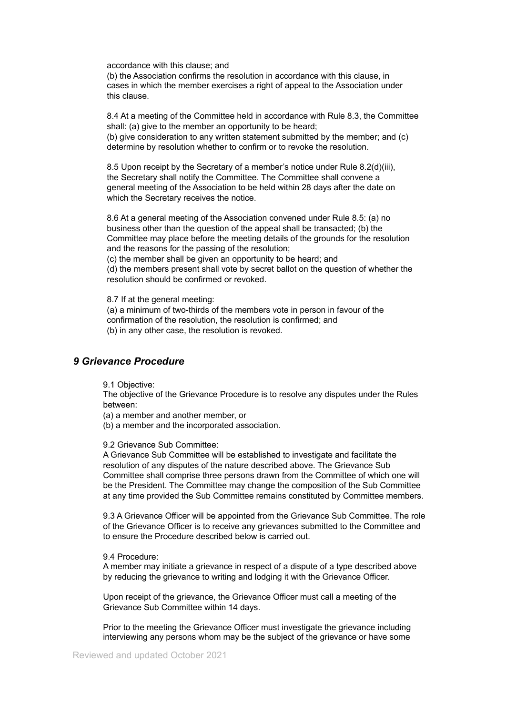accordance with this clause; and

(b) the Association confirms the resolution in accordance with this clause, in cases in which the member exercises a right of appeal to the Association under this clause.

8.4 At a meeting of the Committee held in accordance with Rule 8.3, the Committee shall: (a) give to the member an opportunity to be heard;

(b) give consideration to any written statement submitted by the member; and (c) determine by resolution whether to confirm or to revoke the resolution.

8.5 Upon receipt by the Secretary of a member's notice under Rule 8.2(d)(iii), the Secretary shall notify the Committee. The Committee shall convene a general meeting of the Association to be held within 28 days after the date on which the Secretary receives the notice.

8.6 At a general meeting of the Association convened under Rule 8.5: (a) no business other than the question of the appeal shall be transacted; (b) the Committee may place before the meeting details of the grounds for the resolution and the reasons for the passing of the resolution; (c) the member shall be given an opportunity to be heard; and

(d) the members present shall vote by secret ballot on the question of whether the resolution should be confirmed or revoked.

8.7 If at the general meeting:

(a) a minimum of two-thirds of the members vote in person in favour of the confirmation of the resolution, the resolution is confirmed; and (b) in any other case, the resolution is revoked.

### *9 Grievance Procedure*

9.1 Objective:

The objective of the Grievance Procedure is to resolve any disputes under the Rules between:

(a) a member and another member, or

(b) a member and the incorporated association.

9.2 Grievance Sub Committee:

A Grievance Sub Committee will be established to investigate and facilitate the resolution of any disputes of the nature described above. The Grievance Sub Committee shall comprise three persons drawn from the Committee of which one will be the President. The Committee may change the composition of the Sub Committee at any time provided the Sub Committee remains constituted by Committee members.

9.3 A Grievance Officer will be appointed from the Grievance Sub Committee. The role of the Grievance Officer is to receive any grievances submitted to the Committee and to ensure the Procedure described below is carried out.

#### 9.4 Procedure:

A member may initiate a grievance in respect of a dispute of a type described above by reducing the grievance to writing and lodging it with the Grievance Officer.

Upon receipt of the grievance, the Grievance Officer must call a meeting of the Grievance Sub Committee within 14 days.

Prior to the meeting the Grievance Officer must investigate the grievance including interviewing any persons whom may be the subject of the grievance or have some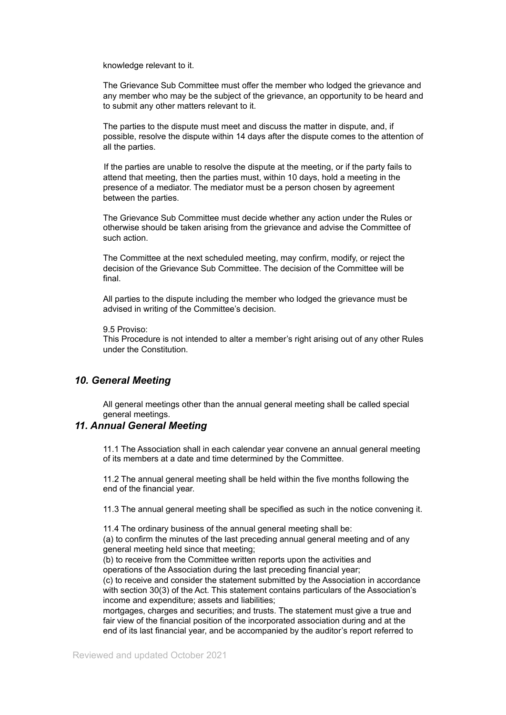knowledge relevant to it.

The Grievance Sub Committee must offer the member who lodged the grievance and any member who may be the subject of the grievance, an opportunity to be heard and to submit any other matters relevant to it.

The parties to the dispute must meet and discuss the matter in dispute, and, if possible, resolve the dispute within 14 days after the dispute comes to the attention of all the parties.

If the parties are unable to resolve the dispute at the meeting, or if the party fails to attend that meeting, then the parties must, within 10 days, hold a meeting in the presence of a mediator. The mediator must be a person chosen by agreement between the parties.

The Grievance Sub Committee must decide whether any action under the Rules or otherwise should be taken arising from the grievance and advise the Committee of such action.

The Committee at the next scheduled meeting, may confirm, modify, or reject the decision of the Grievance Sub Committee. The decision of the Committee will be final.

All parties to the dispute including the member who lodged the grievance must be advised in writing of the Committee's decision.

#### 9.5 Proviso:

This Procedure is not intended to alter a member's right arising out of any other Rules under the Constitution.

#### *10. General Meeting*

All general meetings other than the annual general meeting shall be called special general meetings.

## *11. Annual General Meeting*

11.1 The Association shall in each calendar year convene an annual general meeting of its members at a date and time determined by the Committee.

11.2 The annual general meeting shall be held within the five months following the end of the financial year.

11.3 The annual general meeting shall be specified as such in the notice convening it.

11.4 The ordinary business of the annual general meeting shall be:

(a) to confirm the minutes of the last preceding annual general meeting and of any general meeting held since that meeting;

(b) to receive from the Committee written reports upon the activities and operations of the Association during the last preceding financial year;

(c) to receive and consider the statement submitted by the Association in accordance with section 30(3) of the Act. This statement contains particulars of the Association's income and expenditure; assets and liabilities;

mortgages, charges and securities; and trusts. The statement must give a true and fair view of the financial position of the incorporated association during and at the end of its last financial year, and be accompanied by the auditor's report referred to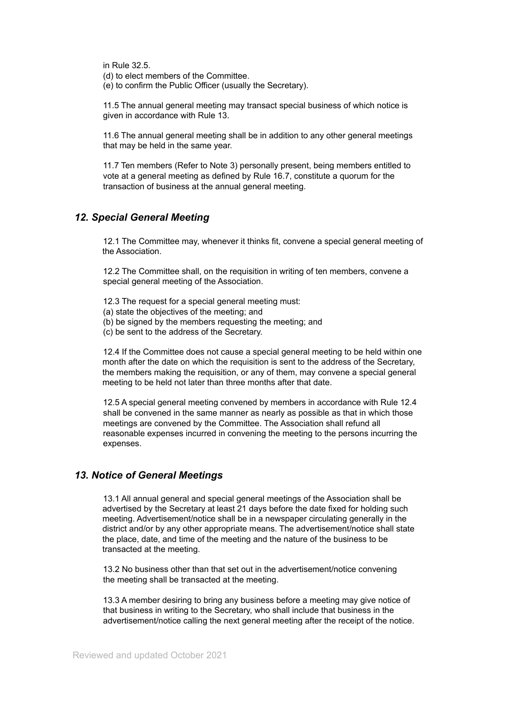in Rule 32.5. (d) to elect members of the Committee.

(e) to confirm the Public Officer (usually the Secretary).

11.5 The annual general meeting may transact special business of which notice is given in accordance with Rule 13.

11.6 The annual general meeting shall be in addition to any other general meetings that may be held in the same year.

11.7 Ten members (Refer to Note 3) personally present, being members entitled to vote at a general meeting as defined by Rule 16.7, constitute a quorum for the transaction of business at the annual general meeting.

## *12. Special General Meeting*

12.1 The Committee may, whenever it thinks fit, convene a special general meeting of the Association.

12.2 The Committee shall, on the requisition in writing of ten members, convene a special general meeting of the Association.

- 12.3 The request for a special general meeting must:
- (a) state the objectives of the meeting; and
- (b) be signed by the members requesting the meeting; and
- (c) be sent to the address of the Secretary.

12.4 If the Committee does not cause a special general meeting to be held within one month after the date on which the requisition is sent to the address of the Secretary, the members making the requisition, or any of them, may convene a special general meeting to be held not later than three months after that date.

12.5 A special general meeting convened by members in accordance with Rule 12.4 shall be convened in the same manner as nearly as possible as that in which those meetings are convened by the Committee. The Association shall refund all reasonable expenses incurred in convening the meeting to the persons incurring the expenses.

## *13. Notice of General Meetings*

13.1 All annual general and special general meetings of the Association shall be advertised by the Secretary at least 21 days before the date fixed for holding such meeting. Advertisement/notice shall be in a newspaper circulating generally in the district and/or by any other appropriate means. The advertisement/notice shall state the place, date, and time of the meeting and the nature of the business to be transacted at the meeting.

13.2 No business other than that set out in the advertisement/notice convening the meeting shall be transacted at the meeting.

13.3 A member desiring to bring any business before a meeting may give notice of that business in writing to the Secretary, who shall include that business in the advertisement/notice calling the next general meeting after the receipt of the notice.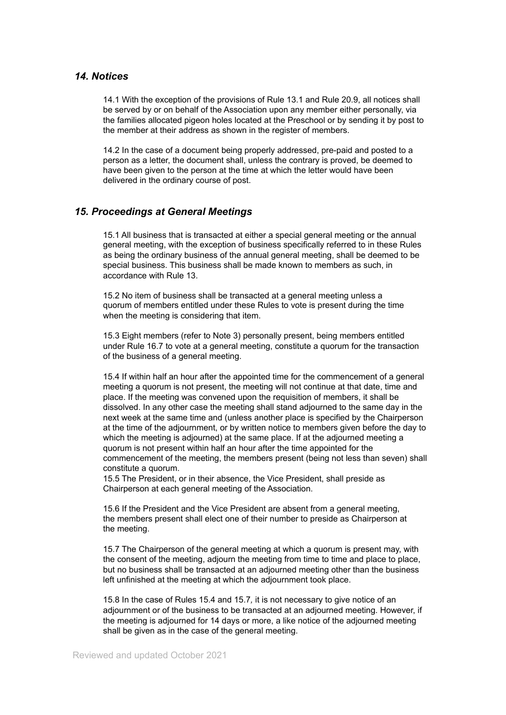#### *14. Notices*

14.1 With the exception of the provisions of Rule 13.1 and Rule 20.9, all notices shall be served by or on behalf of the Association upon any member either personally, via the families allocated pigeon holes located at the Preschool or by sending it by post to the member at their address as shown in the register of members.

14.2 In the case of a document being properly addressed, pre-paid and posted to a person as a letter, the document shall, unless the contrary is proved, be deemed to have been given to the person at the time at which the letter would have been delivered in the ordinary course of post.

#### *15. Proceedings at General Meetings*

15.1 All business that is transacted at either a special general meeting or the annual general meeting, with the exception of business specifically referred to in these Rules as being the ordinary business of the annual general meeting, shall be deemed to be special business. This business shall be made known to members as such, in accordance with Rule 13.

15.2 No item of business shall be transacted at a general meeting unless a quorum of members entitled under these Rules to vote is present during the time when the meeting is considering that item.

15.3 Eight members (refer to Note 3) personally present, being members entitled under Rule 16.7 to vote at a general meeting, constitute a quorum for the transaction of the business of a general meeting.

15.4 If within half an hour after the appointed time for the commencement of a general meeting a quorum is not present, the meeting will not continue at that date, time and place. If the meeting was convened upon the requisition of members, it shall be dissolved. In any other case the meeting shall stand adjourned to the same day in the next week at the same time and (unless another place is specified by the Chairperson at the time of the adjournment, or by written notice to members given before the day to which the meeting is adjourned) at the same place. If at the adjourned meeting a quorum is not present within half an hour after the time appointed for the commencement of the meeting, the members present (being not less than seven) shall constitute a quorum.

15.5 The President, or in their absence, the Vice President, shall preside as Chairperson at each general meeting of the Association.

15.6 If the President and the Vice President are absent from a general meeting, the members present shall elect one of their number to preside as Chairperson at the meeting.

15.7 The Chairperson of the general meeting at which a quorum is present may, with the consent of the meeting, adjourn the meeting from time to time and place to place, but no business shall be transacted at an adjourned meeting other than the business left unfinished at the meeting at which the adjournment took place.

15.8 In the case of Rules 15.4 and 15.7*,* it is not necessary to give notice of an adjournment or of the business to be transacted at an adjourned meeting. However, if the meeting is adjourned for 14 days or more, a like notice of the adjourned meeting shall be given as in the case of the general meeting.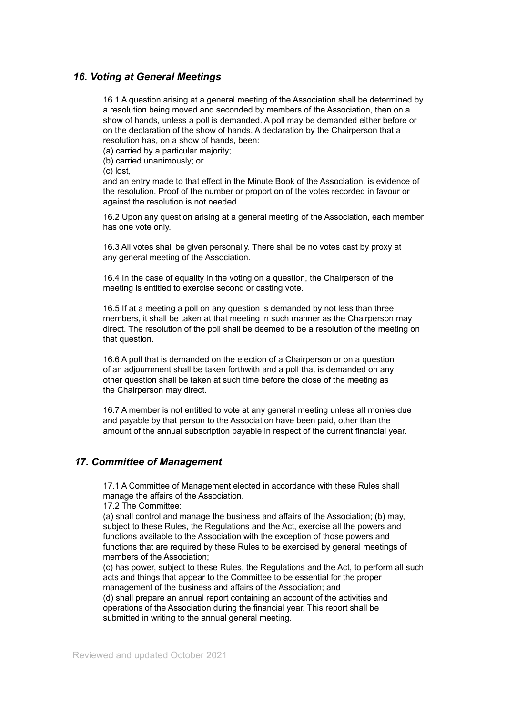## *16. Voting at General Meetings*

16.1 A question arising at a general meeting of the Association shall be determined by a resolution being moved and seconded by members of the Association, then on a show of hands, unless a poll is demanded. A poll may be demanded either before or on the declaration of the show of hands. A declaration by the Chairperson that a resolution has, on a show of hands, been:

(a) carried by a particular majority;

(b) carried unanimously; or

(c) lost,

and an entry made to that effect in the Minute Book of the Association, is evidence of the resolution. Proof of the number or proportion of the votes recorded in favour or against the resolution is not needed.

16.2 Upon any question arising at a general meeting of the Association, each member has one vote only.

16.3 All votes shall be given personally. There shall be no votes cast by proxy at any general meeting of the Association.

16.4 In the case of equality in the voting on a question, the Chairperson of the meeting is entitled to exercise second or casting vote.

16.5 If at a meeting a poll on any question is demanded by not less than three members, it shall be taken at that meeting in such manner as the Chairperson may direct. The resolution of the poll shall be deemed to be a resolution of the meeting on that question.

16.6 A poll that is demanded on the election of a Chairperson or on a question of an adjournment shall be taken forthwith and a poll that is demanded on any other question shall be taken at such time before the close of the meeting as the Chairperson may direct.

16.7 A member is not entitled to vote at any general meeting unless all monies due and payable by that person to the Association have been paid, other than the amount of the annual subscription payable in respect of the current financial year.

## *17. Committee of Management*

17.1 A Committee of Management elected in accordance with these Rules shall manage the affairs of the Association.

17.2 The Committee:

(a) shall control and manage the business and affairs of the Association; (b) may, subject to these Rules, the Regulations and the Act, exercise all the powers and functions available to the Association with the exception of those powers and functions that are required by these Rules to be exercised by general meetings of members of the Association;

(c) has power, subject to these Rules, the Regulations and the Act, to perform all such acts and things that appear to the Committee to be essential for the proper management of the business and affairs of the Association; and

(d) shall prepare an annual report containing an account of the activities and operations of the Association during the financial year. This report shall be submitted in writing to the annual general meeting.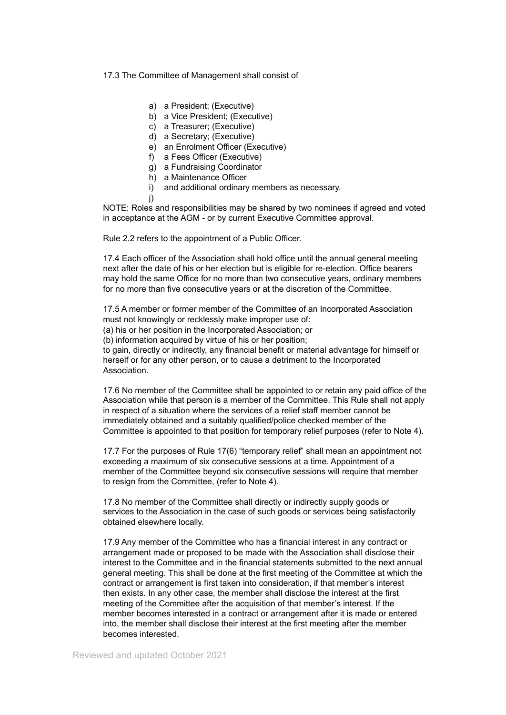#### 17.3 The Committee of Management shall consist of

- a) a President; (Executive)
- b) a Vice President; (Executive)
- c) a Treasurer; (Executive)
- d) a Secretary; (Executive)
- e) an Enrolment Officer (Executive)
- f) a Fees Officer (Executive)
- g) a Fundraising Coordinator
- h) a Maintenance Officer
- i) and additional ordinary members as necessary.
- j)

NOTE: Roles and responsibilities may be shared by two nominees if agreed and voted in acceptance at the AGM - or by current Executive Committee approval.

Rule 2.2 refers to the appointment of a Public Officer.

17.4 Each officer of the Association shall hold office until the annual general meeting next after the date of his or her election but is eligible for re-election. Office bearers may hold the same Office for no more than two consecutive years, ordinary members for no more than five consecutive years or at the discretion of the Committee.

17.5 A member or former member of the Committee of an Incorporated Association must not knowingly or recklessly make improper use of: (a) his or her position in the Incorporated Association; or (b) information acquired by virtue of his or her position;

to gain, directly or indirectly, any financial benefit or material advantage for himself or herself or for any other person, or to cause a detriment to the Incorporated Association.

17.6 No member of the Committee shall be appointed to or retain any paid office of the Association while that person is a member of the Committee. This Rule shall not apply in respect of a situation where the services of a relief staff member cannot be immediately obtained and a suitably qualified/police checked member of the Committee is appointed to that position for temporary relief purposes (refer to Note 4).

17.7 For the purposes of Rule 17(6) "temporary relief" shall mean an appointment not exceeding a maximum of six consecutive sessions at a time. Appointment of a member of the Committee beyond six consecutive sessions will require that member to resign from the Committee, (refer to Note 4).

17.8 No member of the Committee shall directly or indirectly supply goods or services to the Association in the case of such goods or services being satisfactorily obtained elsewhere locally.

17.9 Any member of the Committee who has a financial interest in any contract or arrangement made or proposed to be made with the Association shall disclose their interest to the Committee and in the financial statements submitted to the next annual general meeting. This shall be done at the first meeting of the Committee at which the contract or arrangement is first taken into consideration, if that member's interest then exists. In any other case, the member shall disclose the interest at the first meeting of the Committee after the acquisition of that member's interest. If the member becomes interested in a contract or arrangement after it is made or entered into, the member shall disclose their interest at the first meeting after the member becomes interested.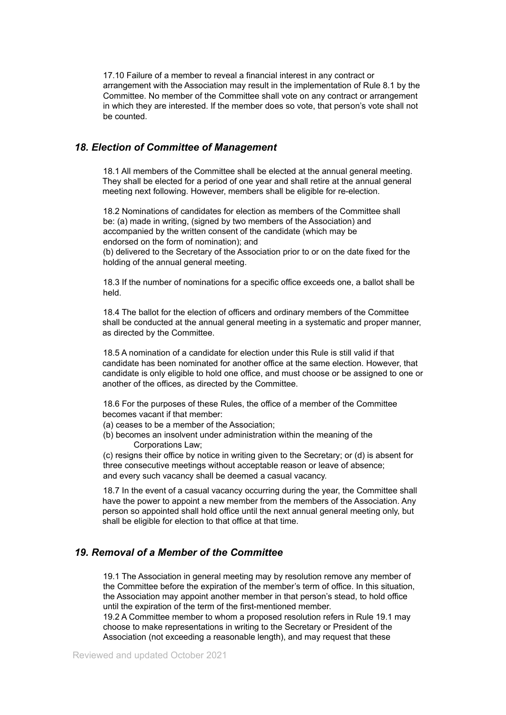17.10 Failure of a member to reveal a financial interest in any contract or arrangement with the Association may result in the implementation of Rule 8.1 by the Committee. No member of the Committee shall vote on any contract or arrangement in which they are interested. If the member does so vote, that person's vote shall not be counted.

## *18. Election of Committee of Management*

18.1 All members of the Committee shall be elected at the annual general meeting. They shall be elected for a period of one year and shall retire at the annual general meeting next following. However, members shall be eligible for re-election.

18.2 Nominations of candidates for election as members of the Committee shall be: (a) made in writing, (signed by two members of the Association) and accompanied by the written consent of the candidate (which may be endorsed on the form of nomination); and

(b) delivered to the Secretary of the Association prior to or on the date fixed for the holding of the annual general meeting.

18.3 If the number of nominations for a specific office exceeds one, a ballot shall be held.

18.4 The ballot for the election of officers and ordinary members of the Committee shall be conducted at the annual general meeting in a systematic and proper manner, as directed by the Committee.

18.5 A nomination of a candidate for election under this Rule is still valid if that candidate has been nominated for another office at the same election. However, that candidate is only eligible to hold one office, and must choose or be assigned to one or another of the offices, as directed by the Committee.

18.6 For the purposes of these Rules, the office of a member of the Committee becomes vacant if that member:

- (a) ceases to be a member of the Association;
- (b) becomes an insolvent under administration within the meaning of the Corporations Law;

(c) resigns their office by notice in writing given to the Secretary; or (d) is absent for three consecutive meetings without acceptable reason or leave of absence; and every such vacancy shall be deemed a casual vacancy.

18.7 In the event of a casual vacancy occurring during the year, the Committee shall have the power to appoint a new member from the members of the Association. Any person so appointed shall hold office until the next annual general meeting only, but shall be eligible for election to that office at that time.

## *19. Removal of a Member of the Committee*

19.1 The Association in general meeting may by resolution remove any member of the Committee before the expiration of the member's term of office. In this situation, the Association may appoint another member in that person's stead, to hold office until the expiration of the term of the first-mentioned member.

19.2 A Committee member to whom a proposed resolution refers in Rule 19.1 may choose to make representations in writing to the Secretary or President of the Association (not exceeding a reasonable length), and may request that these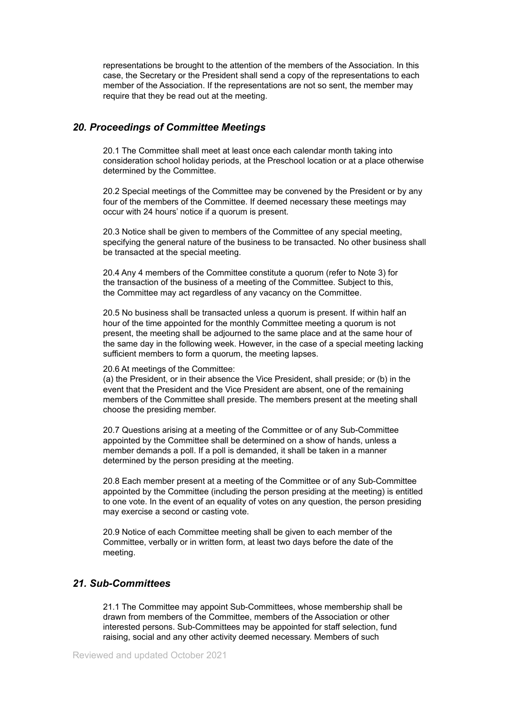representations be brought to the attention of the members of the Association. In this case, the Secretary or the President shall send a copy of the representations to each member of the Association. If the representations are not so sent, the member may require that they be read out at the meeting.

## *20. Proceedings of Committee Meetings*

20.1 The Committee shall meet at least once each calendar month taking into consideration school holiday periods, at the Preschool location or at a place otherwise determined by the Committee.

20.2 Special meetings of the Committee may be convened by the President or by any four of the members of the Committee. If deemed necessary these meetings may occur with 24 hours' notice if a quorum is present.

20.3 Notice shall be given to members of the Committee of any special meeting, specifying the general nature of the business to be transacted. No other business shall be transacted at the special meeting.

20.4 Any 4 members of the Committee constitute a quorum (refer to Note 3) for the transaction of the business of a meeting of the Committee. Subject to this, the Committee may act regardless of any vacancy on the Committee.

20.5 No business shall be transacted unless a quorum is present. If within half an hour of the time appointed for the monthly Committee meeting a quorum is not present, the meeting shall be adjourned to the same place and at the same hour of the same day in the following week. However, in the case of a special meeting lacking sufficient members to form a quorum, the meeting lapses.

#### 20.6 At meetings of the Committee:

(a) the President, or in their absence the Vice President, shall preside; or (b) in the event that the President and the Vice President are absent, one of the remaining members of the Committee shall preside. The members present at the meeting shall choose the presiding member.

20.7 Questions arising at a meeting of the Committee or of any Sub-Committee appointed by the Committee shall be determined on a show of hands, unless a member demands a poll. If a poll is demanded, it shall be taken in a manner determined by the person presiding at the meeting.

20.8 Each member present at a meeting of the Committee or of any Sub-Committee appointed by the Committee (including the person presiding at the meeting) is entitled to one vote. In the event of an equality of votes on any question, the person presiding may exercise a second or casting vote.

20.9 Notice of each Committee meeting shall be given to each member of the Committee, verbally or in written form, at least two days before the date of the meeting.

## *21. Sub-Committees*

21.1 The Committee may appoint Sub-Committees, whose membership shall be drawn from members of the Committee, members of the Association or other interested persons. Sub-Committees may be appointed for staff selection, fund raising, social and any other activity deemed necessary. Members of such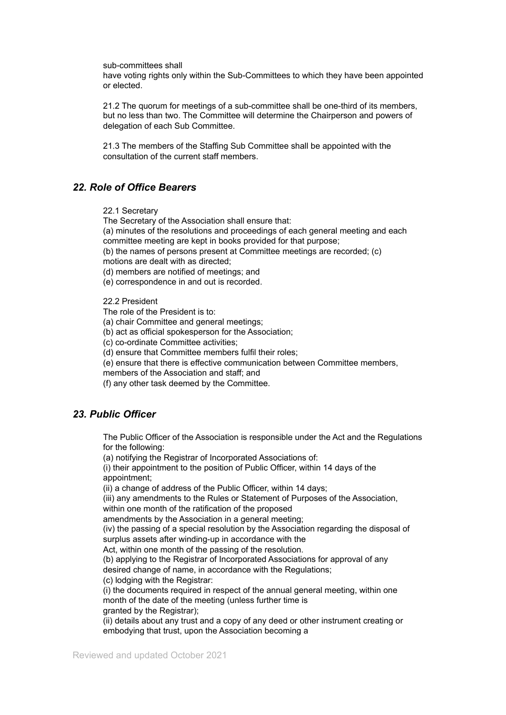sub-committees shall

have voting rights only within the Sub-Committees to which they have been appointed or elected.

21.2 The quorum for meetings of a sub-committee shall be one-third of its members, but no less than two. The Committee will determine the Chairperson and powers of delegation of each Sub Committee.

21.3 The members of the Staffing Sub Committee shall be appointed with the consultation of the current staff members.

## *22. Role of Office Bearers*

22.1 Secretary

The Secretary of the Association shall ensure that:

(a) minutes of the resolutions and proceedings of each general meeting and each committee meeting are kept in books provided for that purpose;

(b) the names of persons present at Committee meetings are recorded; (c)

motions are dealt with as directed;

(d) members are notified of meetings; and

(e) correspondence in and out is recorded.

22.2 President

The role of the President is to:

(a) chair Committee and general meetings;

(b) act as official spokesperson for the Association;

(c) co-ordinate Committee activities;

 $\overrightarrow{a}$ ) ensure that Committee members fulfil their roles:

(e) ensure that there is effective communication between Committee members,

members of the Association and staff; and

(f) any other task deemed by the Committee.

## *23. Public Officer*

The Public Officer of the Association is responsible under the Act and the Regulations for the following:

(a) notifying the Registrar of Incorporated Associations of:

(i) their appointment to the position of Public Officer, within 14 days of the appointment;

(ii) a change of address of the Public Officer, within 14 days;

(iii) any amendments to the Rules or Statement of Purposes of the Association, within one month of the ratification of the proposed

amendments by the Association in a general meeting;

(iv) the passing of a special resolution by the Association regarding the disposal of surplus assets after winding-up in accordance with the

Act, within one month of the passing of the resolution.

(b) applying to the Registrar of Incorporated Associations for approval of any desired change of name, in accordance with the Regulations;

(c) lodging with the Registrar:

(i) the documents required in respect of the annual general meeting, within one month of the date of the meeting (unless further time is granted by the Registrar);

(ii) details about any trust and a copy of any deed or other instrument creating or embodying that trust, upon the Association becoming a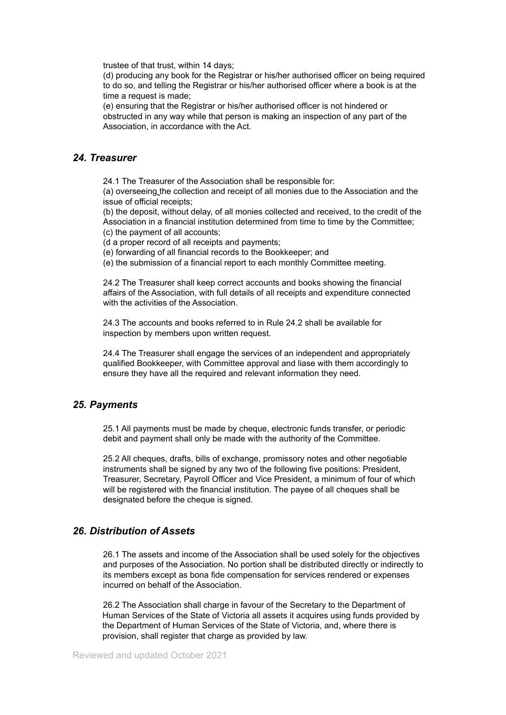trustee of that trust, within 14 days;

(d) producing any book for the Registrar or his/her authorised officer on being required to do so, and telling the Registrar or his/her authorised officer where a book is at the time a request is made;

(e) ensuring that the Registrar or his/her authorised officer is not hindered or obstructed in any way while that person is making an inspection of any part of the Association, in accordance with the Act.

### *24. Treasurer*

24.1 The Treasurer of the Association shall be responsible for:

(a) overseeing the collection and receipt of all monies due to the Association and the issue of official receipts;

(b) the deposit, without delay, of all monies collected and received, to the credit of the Association in a financial institution determined from time to time by the Committee;

(c) the payment of all accounts;

(d a proper record of all receipts and payments;

(e) forwarding of all financial records to the Bookkeeper; and

(e) the submission of a financial report to each monthly Committee meeting.

24.2 The Treasurer shall keep correct accounts and books showing the financial affairs of the Association, with full details of all receipts and expenditure connected with the activities of the Association.

24.3 The accounts and books referred to in Rule 24.2 shall be available for inspection by members upon written request.

24.4 The Treasurer shall engage the services of an independent and appropriately qualified Bookkeeper, with Committee approval and liase with them accordingly to ensure they have all the required and relevant information they need.

## *25. Payments*

25.1 All payments must be made by cheque, electronic funds transfer, or periodic debit and payment shall only be made with the authority of the Committee.

25.2 All cheques, drafts, bills of exchange, promissory notes and other negotiable instruments shall be signed by any two of the following five positions: President, Treasurer, Secretary, Payroll Officer and Vice President, a minimum of four of which will be registered with the financial institution. The payee of all cheques shall be designated before the cheque is signed.

## *26. Distribution of Assets*

26.1 The assets and income of the Association shall be used solely for the objectives and purposes of the Association. No portion shall be distributed directly or indirectly to its members except as bona fide compensation for services rendered or expenses incurred on behalf of the Association.

26.2 The Association shall charge in favour of the Secretary to the Department of Human Services of the State of Victoria all assets it acquires using funds provided by the Department of Human Services of the State of Victoria, and, where there is provision, shall register that charge as provided by law.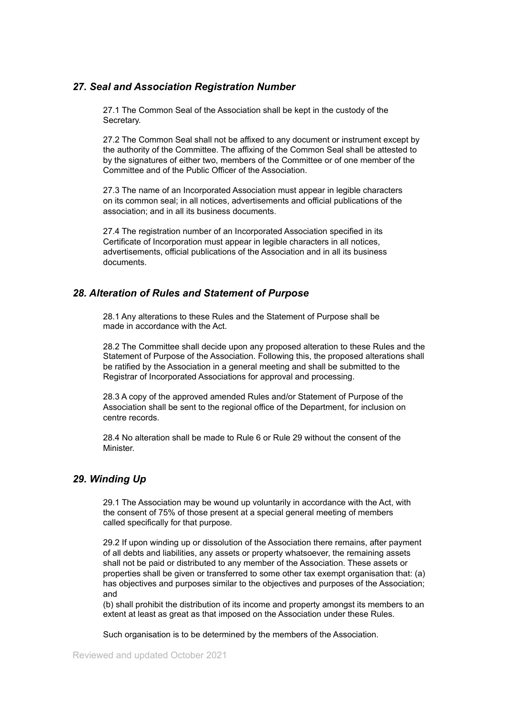## *27. Seal and Association Registration Number*

27.1 The Common Seal of the Association shall be kept in the custody of the Secretary.

27.2 The Common Seal shall not be affixed to any document or instrument except by the authority of the Committee. The affixing of the Common Seal shall be attested to by the signatures of either two, members of the Committee or of one member of the Committee and of the Public Officer of the Association.

27.3 The name of an Incorporated Association must appear in legible characters on its common seal; in all notices, advertisements and official publications of the association; and in all its business documents.

27.4 The registration number of an Incorporated Association specified in its Certificate of Incorporation must appear in legible characters in all notices, advertisements, official publications of the Association and in all its business documents.

## *28. Alteration of Rules and Statement of Purpose*

28.1 Any alterations to these Rules and the Statement of Purpose shall be made in accordance with the Act.

28.2 The Committee shall decide upon any proposed alteration to these Rules and the Statement of Purpose of the Association. Following this, the proposed alterations shall be ratified by the Association in a general meeting and shall be submitted to the Registrar of Incorporated Associations for approval and processing.

28.3 A copy of the approved amended Rules and/or Statement of Purpose of the Association shall be sent to the regional office of the Department, for inclusion on centre records.

28.4 No alteration shall be made to Rule 6 or Rule 29 without the consent of the Minister.

## *29. Winding Up*

29.1 The Association may be wound up voluntarily in accordance with the Act, with the consent of 75% of those present at a special general meeting of members called specifically for that purpose.

29.2 If upon winding up or dissolution of the Association there remains, after payment of all debts and liabilities, any assets or property whatsoever, the remaining assets shall not be paid or distributed to any member of the Association. These assets or properties shall be given or transferred to some other tax exempt organisation that: (a) has objectives and purposes similar to the objectives and purposes of the Association; and

(b) shall prohibit the distribution of its income and property amongst its members to an extent at least as great as that imposed on the Association under these Rules.

Such organisation is to be determined by the members of the Association.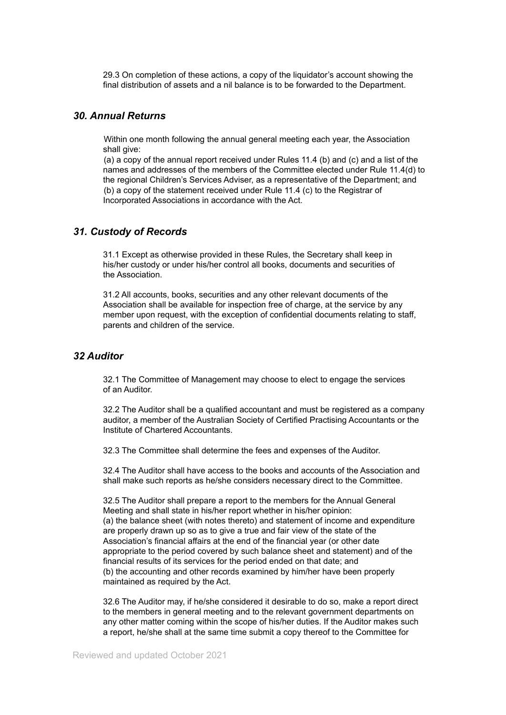29.3 On completion of these actions, a copy of the liquidator's account showing the final distribution of assets and a nil balance is to be forwarded to the Department.

## *30. Annual Returns*

Within one month following the annual general meeting each year, the Association shall give:

(a) a copy of the annual report received under Rules 11.4 (b) and (c) and a list of the names and addresses of the members of the Committee elected under Rule 11.4(d) to the regional Children's Services Adviser, as a representative of the Department; and (b) a copy of the statement received under Rule 11.4 (c) to the Registrar of Incorporated Associations in accordance with the Act.

#### *31. Custody of Records*

31.1 Except as otherwise provided in these Rules, the Secretary shall keep in his/her custody or under his/her control all books, documents and securities of the Association.

31.2 All accounts, books, securities and any other relevant documents of the Association shall be available for inspection free of charge, at the service by any member upon request, with the exception of confidential documents relating to staff, parents and children of the service.

#### *32 Auditor*

32.1 The Committee of Management may choose to elect to engage the services of an Auditor.

32.2 The Auditor shall be a qualified accountant and must be registered as a company auditor, a member of the Australian Society of Certified Practising Accountants or the Institute of Chartered Accountants.

32.3 The Committee shall determine the fees and expenses of the Auditor.

32.4 The Auditor shall have access to the books and accounts of the Association and shall make such reports as he/she considers necessary direct to the Committee.

32.5 The Auditor shall prepare a report to the members for the Annual General Meeting and shall state in his/her report whether in his/her opinion: (a) the balance sheet (with notes thereto) and statement of income and expenditure are properly drawn up so as to give a true and fair view of the state of the Association's financial affairs at the end of the financial year (or other date appropriate to the period covered by such balance sheet and statement) and of the financial results of its services for the period ended on that date; and (b) the accounting and other records examined by him/her have been properly maintained as required by the Act.

32.6 The Auditor may, if he/she considered it desirable to do so, make a report direct to the members in general meeting and to the relevant government departments on any other matter coming within the scope of his/her duties. If the Auditor makes such a report, he/she shall at the same time submit a copy thereof to the Committee for